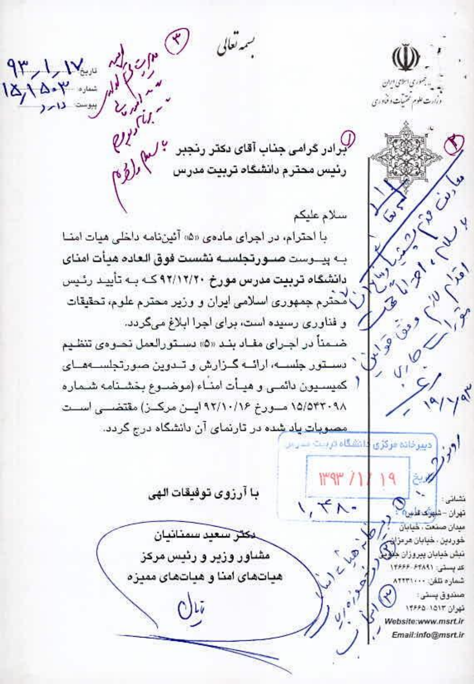$\frac{9r}{18\lambda^{28-r}}$   $\frac{11}{18\lambda^{18-r}}$   $\frac{11}{18\lambda^{18-r}}$ بسمەتعالى يد به محوري استرسي ايران .<br>د بارت علوم تحتيات و فأوري  $v t$ لیزادر گرامی جناب آقای دکتر رنجبر <sup>۲</sup> لرم کرلیگر<br>رئیس محترم دانشگاه تربیت مدرس سطر لراوم 21.2019 Lavign - Lavy سلام عليكم با احترام، در اجرای مادهی ۵۵۱ آئیننامه داخلی هیات امنیا in the contraction ب پیــوست صــورتجلســه نشست فوق الـعاده مبأت امنای دانشگاه تربیت مدرس مورخ ۹۲/۱۲/۲۰ کــه بــه تأییـد رئـیس UILO CITY ل محترم جمهوري اسلامي ايران و وزير محترم علوم، تحقيقات و فناوری رسیده است، برای اجرا ابلاغ میگردد. ضدمناً در اجـرای مقـاد بنـد «۵» دسـتورالعمل نحـوهي تنظـيم دستور جلسه، ارائــه گــزارش و تــدوين صورتجلســهسـای  $\frac{2}{3}$ كميسيون دائمي و هيأت امناء (موضىوع بخشىنامه شىماره 1 10/10 ١٥/٥۴٢٠٩٨ مسورخ ٩٢/١٠/١۶ ايسن مركسن) مقتضمي اسست <u>مصوبات پاد ش</u>ده در تارنمای آن دانشگاه درج گردد. انتقاله ق دبيرخاده فركزى  $||\Psi||$ با آرزوی توفیقات الهی فشاني :  $\vee$ ,  $\forall$   $\wedge$ . تهران - شهرت علمین میدان صنعت ، خیابان حكثر سعيد سمنانيان څوردين ، څپايان هرمزا  $v^{\varphi}$ مشاور وزير و رئيس مركز تبش خيابان پېروزان کدیستی: ۱۴۶۶۶-۶۴۸۹۱ هیاتهای امنا و هیاتهای ممیزه شماره تلقن: ٨٣٣٣١٠٠٠  $y_1^{\alpha}$ مندوق پسٹی‡ تهران ١٥١٣. ١٣۶۶۵ Website:www.msrt.ir Email:info@msrt.ir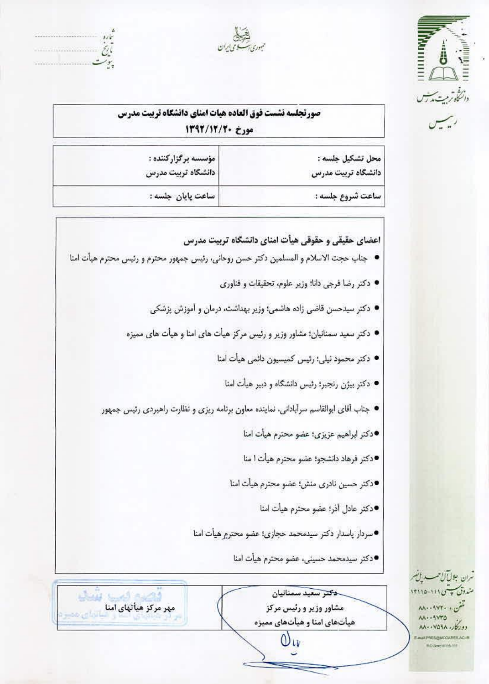

ريس



 $\tilde{v}$  $^{\prime}$ r.

الأنحال

مهر مرکز هیأتهای امنا

| صورتجلسه نشست فوق العاده هيات امناي دانشكاه تربيت مدرس |  |  |                  |  |  |
|--------------------------------------------------------|--|--|------------------|--|--|
|                                                        |  |  | مورخ 13/12/19/19 |  |  |
|                                                        |  |  |                  |  |  |

| محل تشکیل جلسه :   |
|--------------------|
| دانشگاه تربیت مدرس |

ساعت شروع جلسه :

ساعت يايان جلسه :

مؤسسه برگزارکننده : دانشگاه تربیت مدرس

اعضای حقیقی و حقوقی هیأت امنای دانشگاه تربیت مدرس

- جناب حجت الاسلام و المسلمين دكتر حسن روحاني، رئيس جمهور محترم و رئيس محترم هيأت امنا
	- دکتر رضا فرجی دانا؛ وزیر علوم، تحقیقات و فناوری
	- دکتر سیدحسن قاضی زاده هاشمی؛ وزیر بهداشت، درمان و آموزش پزشکی
	- دکتر سعید سمنانیان؛ مشاور وزیر و رئیس مرکز هیأت های امنا و هیأت های ممیزه
		- دکتر محمود نیلی؛ رئیس کمیسیون دائمی هیأت امنا
			- دکتر بیژن رنجبر؛ رئیس دانشگاه و دبیر هیأت امنا
	- جناب آقای ابوالقاسم سرآبادانی، نماینده معاون برنامه ریزی و نظارت راهبردی رئیس جمهور
		- ●دکتر ابراهیم عزیزی؛ عضو محترم هیأت امنا
		- ●دكتر فرهاد دانشجو؛ عضو محترم هيأت ا منا
		- ●دكتر حسين نادرى منش؛ عضو محترم هيأت امنا
			- ●دكتر عادل أذر؛ عضو محترم هيأت امنا
		- سردار پاسدار دکتر سیدمحمد حجازی؛ عضو محترم هیأت امنا
			- ●دکتر سیدمحمد حسینی، عضو محترم هیأت امنا

ترن جلالآل<sup>و</sup> مسد ان<br>م مندوق پپسی ۱۶۱۱ ۱۳۱۱۵ تىن . . ٩٧٢٠ مىد AA - - SVTO **AA - - VOAA - 16297** 

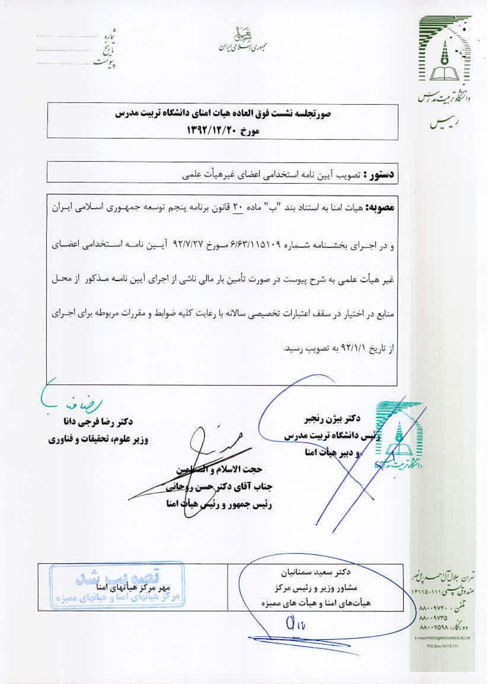



 $\rightarrow$  $\tilde{\mathcal{C}}^1$ 

صورتجلسه نشست فوق العاده هيات امناي دانشكاه تربيت مدرس مورخ ١٣٩٢/١٢/٢٠

دستور : تصويب آيين نامه استخدامي اعضاي غيرهيأت علمي

**مصوبه:** هیات امنا به استناد بند "ب" ماده ٢٠ قانون برنامه پنجم توسعه جمهـوری اسـلامی ایـران و در اجبرای بخشنامه شماره ۶/۶۳/۱۱۵۱۰۹ میورخ ۹۲/۷/۲۲ آیسین نامیه استخدامی اعضای غیر هیأت علمی به شرح پیوست در صورت تأمین بار مالی ناشی از اجرای آیین نامـه مـذکور از محـل منابع در اختیار در سقف اعتبارات تخصیصی سالانه با رعایت کلیه ضوابط و مقررات مربوطه برای اجـرای از تاریخ ۹۲/۱/۱ به تصویب رسید.  $\omega\omega/$ دكتر بيژن رنجبر دكتر رضا فرجى دانا س دانشگاه تربیت مدرس وزير علوم، تحقيقات و فناوري √و دبیر هیأت امنا حجت الاسلام وآلمه **جناب آقای دکتر حسن روحانی** رئیس جمهور و رئیکر هیأت امنا دكتر سعيد سمنانيان مهر مرکز هیاتهای امناسانی شران جلالآل حسسه يافضر مشاور وزیر و رئیس مرکز مندوق <del>به</del> سی ۱۱۱-۱۳۱۵ و هیاتهای ممیز ه هیأتهای امنا و هیأت های ممیزه لمفن : ۸۸۰۰۹۷۲۰ **AA - 4470**  $Q_{W}$ دوركار: ٥٩٨٠-١٨٨